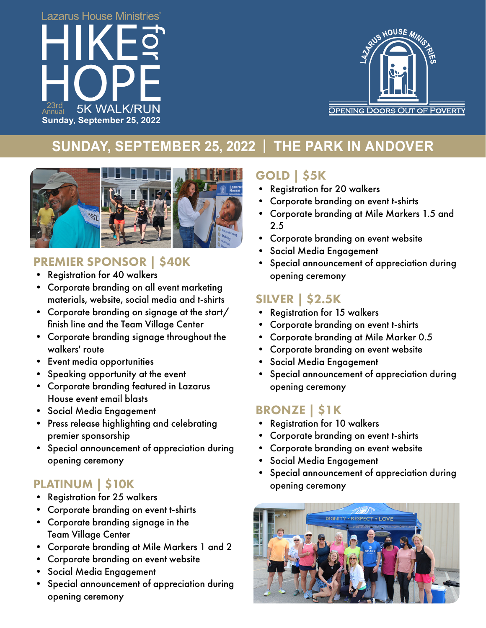



# **SUNDAY, SEPTEMBER 25, 2022 | THE PARK IN ANDOVER**



### PREMIER SPONSOR | \$40K

- Registration for 40 walkers
- Corporate branding on all event marketing materials, website, social media and t-shirts
- Corporate branding on signage at the start/ finish line and the Team Village Center
- Corporate branding signage throughout the walkers' route
- Event media opportunities
- Speaking opportunity at the event
- Corporate branding featured in Lazarus House event email blasts
- Social Media Engagement
- Press release highlighting and celebrating premier sponsorship
- Special announcement of appreciation during opening ceremony

### PLATINUM | \$10K

- Registration for 25 walkers
- Corporate branding on event t-shirts
- Corporate branding signage in the Team Village Center
- Corporate branding at Mile Markers 1 and 2
- Corporate branding on event website
- Social Media Engagement
- Special announcement of appreciation during opening ceremony

# GOLD | \$5K

- Registration for 20 walkers
- Corporate branding on event t-shirts
- Corporate branding at Mile Markers 1.5 and 2.5
- Corporate branding on event website
- Social Media Engagement
- Special announcement of appreciation during opening ceremony

## SILVER | \$2.5K

- Registration for 15 walkers
- Corporate branding on event t-shirts
- Corporate branding at Mile Marker 0.5
- Corporate branding on event website
- Social Media Engagement
- Special announcement of appreciation during opening ceremony

## BRONZE | \$1K

- Registration for 10 walkers
- Corporate branding on event t-shirts
- Corporate branding on event website
- Social Media Engagement
- Special announcement of appreciation during opening ceremony